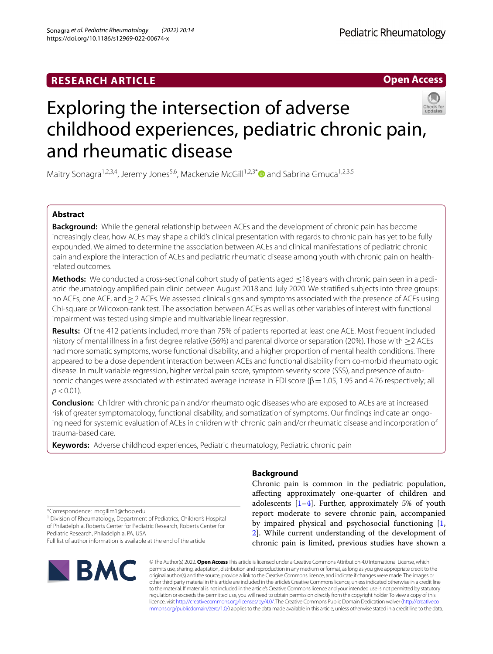# **RESEARCH ARTICLE**

**Open Access**



# Exploring the intersection of adverse childhood experiences, pediatric chronic pain, and rheumatic disease

Maitry Sonagra<sup>1,2,3,4</sup>, Jeremy Jones<sup>5,6</sup>, Mackenzie McGill<sup>1,2,3[\\*](http://orcid.org/0000-0001-6209-4733)</sup> and Sabrina Gmuca<sup>1,2,3,5</sup>

# **Abstract**

**Background:** While the general relationship between ACEs and the development of chronic pain has become increasingly clear, how ACEs may shape a child's clinical presentation with regards to chronic pain has yet to be fully expounded. We aimed to determine the association between ACEs and clinical manifestations of pediatric chronic pain and explore the interaction of ACEs and pediatric rheumatic disease among youth with chronic pain on healthrelated outcomes.

**Methods:** We conducted a cross-sectional cohort study of patients aged ≤18 years with chronic pain seen in a pediatric rheumatology amplifed pain clinic between August 2018 and July 2020. We stratifed subjects into three groups: no ACEs, one ACE, and≥2 ACEs. We assessed clinical signs and symptoms associated with the presence of ACEs using Chi-square or Wilcoxon-rank test. The association between ACEs as well as other variables of interest with functional impairment was tested using simple and multivariable linear regression.

**Results:** Of the 412 patients included, more than 75% of patients reported at least one ACE. Most frequent included history of mental illness in a frst degree relative (56%) and parental divorce or separation (20%). Those with ≥2 ACEs had more somatic symptoms, worse functional disability, and a higher proportion of mental health conditions. There appeared to be a dose dependent interaction between ACEs and functional disability from co-morbid rheumatologic disease. In multivariable regression, higher verbal pain score, symptom severity score (SSS), and presence of autonomic changes were associated with estimated average increase in FDI score (β = 1.05, 1.95 and 4.76 respectively; all  $p$  < 0.01).

**Conclusion:** Children with chronic pain and/or rheumatologic diseases who are exposed to ACEs are at increased risk of greater symptomatology, functional disability, and somatization of symptoms. Our fndings indicate an ongoing need for systemic evaluation of ACEs in children with chronic pain and/or rheumatic disease and incorporation of trauma-based care.

**Keywords:** Adverse childhood experiences, Pediatric rheumatology, Pediatric chronic pain

**Background**

Chronic pain is common in the pediatric population, afecting approximately one-quarter of children and adolescents  $[1-4]$  $[1-4]$ . Further, approximately 5% of youth report moderate to severe chronic pain, accompanied by impaired physical and psychosocial functioning [\[1](#page-8-0), [2\]](#page-8-1). While current understanding of the development of chronic pain is limited, previous studies have shown a

\*Correspondence: mcgillm1@chop.edu

<sup>1</sup> Division of Rheumatology, Department of Pediatrics, Children's Hospital of Philadelphia, Roberts Center for Pediatric Research, Roberts Center for Pediatric Research, Philadelphia, PA, USA Full list of author information is available at the end of the article



© The Author(s) 2022. **Open Access** This article is licensed under a Creative Commons Attribution 4.0 International License, which permits use, sharing, adaptation, distribution and reproduction in any medium or format, as long as you give appropriate credit to the original author(s) and the source, provide a link to the Creative Commons licence, and indicate if changes were made. The images or other third party material in this article are included in the article's Creative Commons licence, unless indicated otherwise in a credit line to the material. If material is not included in the article's Creative Commons licence and your intended use is not permitted by statutory regulation or exceeds the permitted use, you will need to obtain permission directly from the copyright holder. To view a copy of this licence, visit [http://creativecommons.org/licenses/by/4.0/.](http://creativecommons.org/licenses/by/4.0/) The Creative Commons Public Domain Dedication waiver ([http://creativeco](http://creativecommons.org/publicdomain/zero/1.0/) [mmons.org/publicdomain/zero/1.0/](http://creativecommons.org/publicdomain/zero/1.0/)) applies to the data made available in this article, unless otherwise stated in a credit line to the data.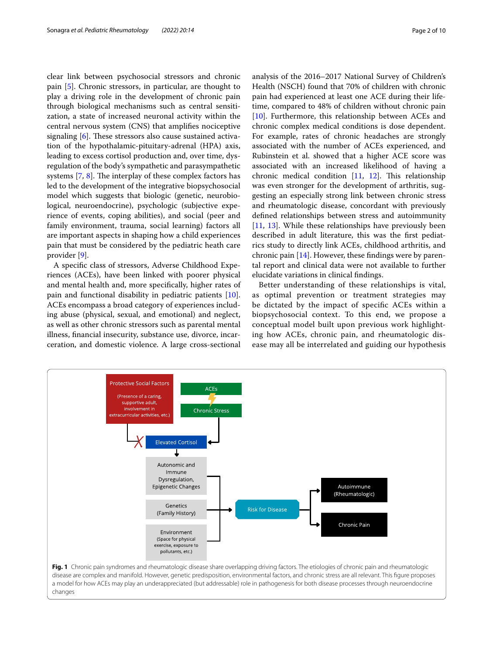clear link between psychosocial stressors and chronic pain [\[5](#page-9-1)]. Chronic stressors, in particular, are thought to play a driving role in the development of chronic pain through biological mechanisms such as central sensitization, a state of increased neuronal activity within the central nervous system (CNS) that amplifes nociceptive signaling  $[6]$  $[6]$ . These stressors also cause sustained activation of the hypothalamic-pituitary-adrenal (HPA) axis, leading to excess cortisol production and, over time, dysregulation of the body's sympathetic and parasympathetic systems  $[7, 8]$  $[7, 8]$  $[7, 8]$  $[7, 8]$ . The interplay of these complex factors has led to the development of the integrative biopsychosocial model which suggests that biologic (genetic, neurobiological, neuroendocrine), psychologic (subjective experience of events, coping abilities), and social (peer and family environment, trauma, social learning) factors all are important aspects in shaping how a child experiences pain that must be considered by the pediatric heath care provider [\[9\]](#page-9-5).

A specifc class of stressors, Adverse Childhood Experiences (ACEs), have been linked with poorer physical and mental health and, more specifcally, higher rates of pain and functional disability in pediatric patients [\[10](#page-9-6)]. ACEs encompass a broad category of experiences including abuse (physical, sexual, and emotional) and neglect, as well as other chronic stressors such as parental mental illness, fnancial insecurity, substance use, divorce, incarceration, and domestic violence. A large cross-sectional analysis of the 2016–2017 National Survey of Children's Health (NSCH) found that 70% of children with chronic pain had experienced at least one ACE during their lifetime, compared to 48% of children without chronic pain [[10\]](#page-9-6). Furthermore, this relationship between ACEs and chronic complex medical conditions is dose dependent. For example, rates of chronic headaches are strongly associated with the number of ACEs experienced, and Rubinstein et al. showed that a higher ACE score was associated with an increased likelihood of having a chronic medical condition  $[11, 12]$  $[11, 12]$  $[11, 12]$  $[11, 12]$ . This relationship was even stronger for the development of arthritis, suggesting an especially strong link between chronic stress and rheumatologic disease, concordant with previously defned relationships between stress and autoimmunity [[11,](#page-9-7) [13](#page-9-9)]. While these relationships have previously been described in adult literature, this was the frst pediatrics study to directly link ACEs, childhood arthritis, and chronic pain  $[14]$  $[14]$ . However, these findings were by parental report and clinical data were not available to further elucidate variations in clinical fndings.

Better understanding of these relationships is vital, as optimal prevention or treatment strategies may be dictated by the impact of specifc ACEs within a biopsychosocial context. To this end, we propose a conceptual model built upon previous work highlighting how ACEs, chronic pain, and rheumatologic disease may all be interrelated and guiding our hypothesis

<span id="page-1-0"></span>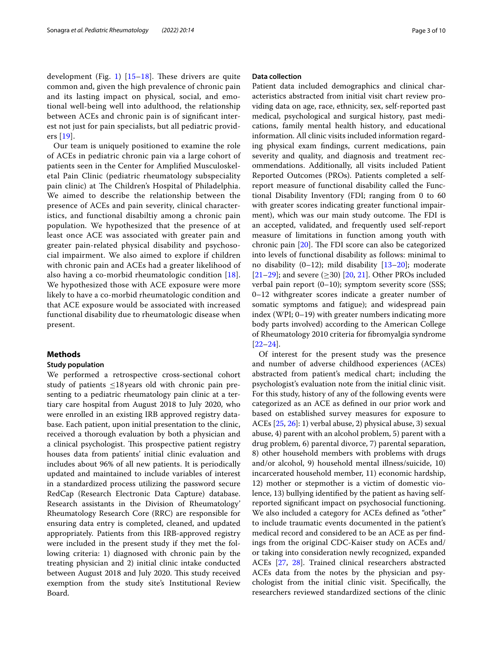development (Fig. [1](#page-1-0))  $[15-18]$  $[15-18]$  $[15-18]$ . These drivers are quite common and, given the high prevalence of chronic pain and its lasting impact on physical, social, and emotional well-being well into adulthood, the relationship between ACEs and chronic pain is of signifcant interest not just for pain specialists, but all pediatric providers [[19\]](#page-9-13).

Our team is uniquely positioned to examine the role of ACEs in pediatric chronic pain via a large cohort of patients seen in the Center for Amplifed Musculoskeletal Pain Clinic (pediatric rheumatology subspeciality pain clinic) at The Children's Hospital of Philadelphia. We aimed to describe the relationship between the presence of ACEs and pain severity, clinical characteristics, and functional disabiltiy among a chronic pain population. We hypothesized that the presence of at least once ACE was associated with greater pain and greater pain-related physical disability and psychosocial impairment. We also aimed to explore if children with chronic pain and ACEs had a greater likelihood of also having a co-morbid rheumatologic condition [[18\]](#page-9-12). We hypothesized those with ACE exposure were more likely to have a co-morbid rheumatologic condition and that ACE exposure would be associated with increased functional disability due to rheumatologic disease when present.

# **Methods**

# **Study population**

We performed a retrospective cross-sectional cohort study of patients  $\leq 18$  years old with chronic pain presenting to a pediatric rheumatology pain clinic at a tertiary care hospital from August 2018 to July 2020, who were enrolled in an existing IRB approved registry database. Each patient, upon initial presentation to the clinic, received a thorough evaluation by both a physician and a clinical psychologist. This prospective patient registry houses data from patients' initial clinic evaluation and includes about 96% of all new patients. It is periodically updated and maintained to include variables of interest in a standardized process utilizing the password secure RedCap (Research Electronic Data Capture) database. Research assistants in the Division of Rheumatology' Rheumatology Research Core (RRC) are responsible for ensuring data entry is completed, cleaned, and updated appropriately. Patients from this IRB-approved registry were included in the present study if they met the following criteria: 1) diagnosed with chronic pain by the treating physician and 2) initial clinic intake conducted between August 2018 and July 2020. This study received exemption from the study site's Institutional Review Board.

## **Data collection**

Patient data included demographics and clinical characteristics abstracted from initial visit chart review providing data on age, race, ethnicity, sex, self-reported past medical, psychological and surgical history, past medications, family mental health history, and educational information. All clinic visits included information regarding physical exam fndings, current medications, pain severity and quality, and diagnosis and treatment recommendations. Additionally, all visits included Patient Reported Outcomes (PROs). Patients completed a selfreport measure of functional disability called the Functional Disability Inventory (FDI; ranging from 0 to 60 with greater scores indicating greater functional impairment), which was our main study outcome. The FDI is an accepted, validated, and frequently used self-report measure of limitations in function among youth with chronic pain  $[20]$  $[20]$ . The FDI score can also be categorized into levels of functional disability as follows: minimal to no disability (0–12); mild disability [[13–](#page-9-9)[20](#page-9-14)]; moderate [[21–](#page-9-15)[29\]](#page-9-16); and severe  $(\geq 30)$  [\[20](#page-9-14), [21\]](#page-9-15). Other PROs included verbal pain report (0–10); symptom severity score (SSS; 0–12 withgreater scores indicate a greater number of somatic symptoms and fatigue); and widespread pain index (WPI; 0–19) with greater numbers indicating more body parts involved) according to the American College of Rheumatology 2010 criteria for fbromyalgia syndrome [[22–](#page-9-17)[24\]](#page-9-18).

Of interest for the present study was the presence and number of adverse childhood experiences (ACEs) abstracted from patient's medical chart; including the psychologist's evaluation note from the initial clinic visit. For this study, history of any of the following events were categorized as an ACE as defned in our prior work and based on established survey measures for exposure to ACEs [\[25](#page-9-19), [26](#page-9-20)]: 1) verbal abuse, 2) physical abuse, 3) sexual abuse, 4) parent with an alcohol problem, 5) parent with a drug problem, 6) parental divorce, 7) parental separation, 8) other household members with problems with drugs and/or alcohol, 9) household mental illness/suicide, 10) incarcerated household member, 11) economic hardship, 12) mother or stepmother is a victim of domestic violence, 13) bullying identifed by the patient as having selfreported signifcant impact on psychosocial functioning. We also included a category for ACEs defned as "other" to include traumatic events documented in the patient's medical record and considered to be an ACE as per fndings from the original CDC-Kaiser study on ACEs and/ or taking into consideration newly recognized, expanded ACEs [\[27,](#page-9-21) [28\]](#page-9-22). Trained clinical researchers abstracted ACEs data from the notes by the physician and psychologist from the initial clinic visit. Specifcally, the researchers reviewed standardized sections of the clinic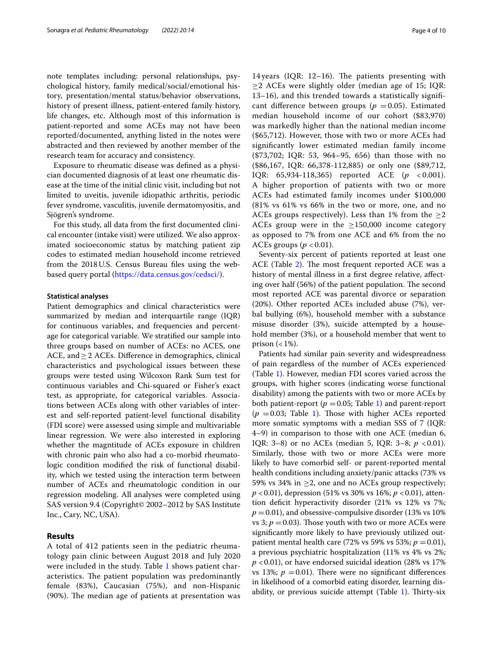note templates including: personal relationships, psychological history, family medical/social/emotional history, presentation/mental status/behavior observations, history of present illness, patient-entered family history, life changes, etc. Although most of this information is patient-reported and some ACEs may not have been reported/documented, anything listed in the notes were abstracted and then reviewed by another member of the research team for accuracy and consistency.

Exposure to rheumatic disease was defned as a physician documented diagnosis of at least one rheumatic disease at the time of the initial clinic visit, including but not limited to uveitis, juvenile idiopathic arthritis, periodic fever syndrome, vasculitis, juvenile dermatomyositis, and Sjögren's syndrome.

For this study, all data from the frst documented clinical encounter (intake visit) were utilized. We also approximated socioeconomic status by matching patient zip codes to estimated median household income retrieved from the 2018 U.S. Census Bureau files using the webbased query portal (<https://data.census.gov/cedsci/>).

# **Statistical analyses**

Patient demographics and clinical characteristics were summarized by median and interquartile range (IQR) for continuous variables, and frequencies and percentage for categorical variable. We stratifed our sample into three groups based on number of ACEs: no ACES, one ACE, and≥2 ACEs. Diference in demographics, clinical characteristics and psychological issues between these groups were tested using Wilcoxon Rank Sum test for continuous variables and Chi-squared or Fisher's exact test, as appropriate, for categorical variables. Associations between ACEs along with other variables of interest and self-reported patient-level functional disability (FDI score) were assessed using simple and multivariable linear regression. We were also interested in exploring whether the magntitude of ACEs exposure in children with chronic pain who also had a co-morbid rheumatologic condition modifed the risk of functional disability, which we tested using the interaction term between number of ACEs and rheumatologic condition in our regression modeling. All analyses were completed using SAS version 9.4 (Copyright© 2002–2012 by SAS Institute Inc., Cary, NC, USA).

# **Results**

A total of 412 patients seen in the pediatric rheumatology pain clinic between August 2018 and July 2020 were included in the study. Table [1](#page-4-0) shows patient characteristics. The patient population was predominantly female (83%), Caucasian (75%), and non-Hispanic  $(90%)$ . The median age of patients at presentation was

14 years (IQR:  $12-16$ ). The patients presenting with  $\geq$  2 ACEs were slightly older (median age of 15; IQR: 13–16), and this trended towards a statistically signifcant difference between groups ( $p = 0.05$ ). Estimated median household income of our cohort (\$83,970) was markedly higher than the national median income (\$65,712). However, those with two or more ACEs had signifcantly lower estimated median family income (\$73,702; IQR: 53, 964–95, 656) than those with no (\$86,167, IQR: 66,378-112,885) or only one (\$89,712, IQR: 65,934-118,365) reported ACE (*p* < 0.001). A higher proportion of patients with two or more ACEs had estimated family incomes under \$100,000 (81% vs 61% vs 66% in the two or more, one, and no ACEs groups respectively). Less than 1% from the  $\geq$ 2 ACEs group were in the  $\geq$ 150,000 income category as opposed to 7% from one ACE and 6% from the no ACEs groups  $(p < 0.01)$ .

Seventy-six percent of patients reported at least one ACE (Table [2\)](#page-5-0). The most frequent reported ACE was a history of mental illness in a frst degree relative, afecting over half (56%) of the patient population. The second most reported ACE was parental divorce or separation (20%). Other reported ACEs included abuse (7%), verbal bullying (6%), household member with a substance misuse disorder (3%), suicide attempted by a household member (3%), or a household member that went to prison  $(<1\%)$ .

Patients had similar pain severity and widespreadness of pain regardless of the number of ACEs experienced (Table [1](#page-4-0)). However, median FDI scores varied across the groups, with higher scores (indicating worse functional disability) among the patients with two or more ACEs by both patient-report ( $p = 0.05$ ; Table [1\)](#page-4-0) and parent-report  $(p = 0.03;$  Table [1](#page-4-0)). Those with higher ACEs reported more somatic symptoms with a median SSS of 7 (IQR: 4–9) in comparison to those with one ACE (median 6, IQR: 3–8) or no ACEs (median 5, IQR: 3–8;  $p < 0.01$ ). Similarly, those with two or more ACEs were more likely to have comorbid self- or parent-reported mental health conditions including anxiety/panic attacks (73% vs 59% vs 34% in  $\geq$ 2, one and no ACEs group respectively; *p* <0.01), depression (51% vs 30% vs 16%; *p* <0.01), attention defcit hyperactivity disorder (21% vs 12% vs 7%;  $p = 0.01$ ), and obsessive-compulsive disorder (13% vs 10%) vs 3;  $p = 0.03$ ). Those youth with two or more ACEs were signifcantly more likely to have previously utilized outpatient mental health care (72% vs 59% vs 53%;  $p = 0.01$ ), a previous psychiatric hospitalization (11% vs 4% vs 2%; *p* <0.01), or have endorsed suicidal ideation (28% vs 17% vs 13%;  $p = 0.01$ ). There were no significant differences in likelihood of a comorbid eating disorder, learning disability, or previous suicide attempt (Table  $1$ ). Thirty-six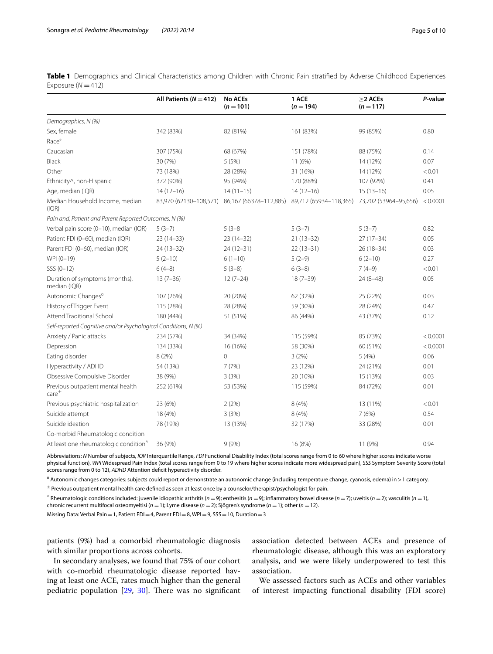|                                                                | All Patients ( $N = 412$ ) | <b>No ACEs</b><br>$(n = 101)$                 | 1 ACE<br>$(n = 194)$   | $>2$ ACEs<br>$(n = 117)$ | P-value  |
|----------------------------------------------------------------|----------------------------|-----------------------------------------------|------------------------|--------------------------|----------|
| Demographics, N (%)                                            |                            |                                               |                        |                          |          |
| Sex, female                                                    | 342 (83%)                  | 82 (81%)                                      | 161 (83%)              | 99 (85%)                 | 0.80     |
| Race°                                                          |                            |                                               |                        |                          |          |
| Caucasian                                                      | 307 (75%)                  | 68 (67%)                                      | 151 (78%)              | 88 (75%)                 | 0.14     |
| Black                                                          | 30 (7%)                    | 5 (5%)                                        | 11 (6%)                | 14 (12%)                 | 0.07     |
| Other                                                          | 73 (18%)                   | 28 (28%)                                      | 31 (16%)               | 14 (12%)                 | < 0.01   |
| Ethnicity^, non-Hispanic                                       | 372 (90%)                  | 95 (94%)                                      | 170 (88%)              | 107 (92%)                | 0.41     |
| Age, median (IQR)                                              | $14(12-16)$                | $14(11-15)$                                   | $14(12-16)$            | $15(13-16)$              | 0.05     |
| Median Household Income, median<br>(IQR)                       |                            | 83,970 (62130-108,571) 86,167 (66378-112,885) | 89,712 (65934-118,365) | 73,702 (53964-95,656)    | < 0.0001 |
| Pain and, Patient and Parent Reported Outcomes, N (%)          |                            |                                               |                        |                          |          |
| Verbal pain score (0-10), median (IQR)                         | $5(3-7)$                   | $5(3-8)$                                      | $5(3-7)$               | $5(3-7)$                 | 0.82     |
| Patient FDI (0-60), median (IQR)                               | $23(14-33)$                | $23(14-32)$                                   | $21(13-32)$            | $27(17-34)$              | 0.05     |
| Parent FDI (0-60), median (IQR)                                | $24(13-32)$                | $24(12-31)$                                   | $22(13-31)$            | $26(18-34)$              | 0.03     |
| WPI (0-19)                                                     | $5(2-10)$                  | $6(1-10)$                                     | $5(2-9)$               | $6(2-10)$                | 0.27     |
| $SSS (0-12)$                                                   | $6(4-8)$                   | $5(3-8)$                                      | $6(3-8)$               | $7(4-9)$                 | < 0.01   |
| Duration of symptoms (months),<br>median (IQR)                 | $13(7-36)$                 | $12(7-24)$                                    | $18(7-39)$             | 24 (8-48)                | 0.05     |
| Autonomic Changes <sup>o</sup>                                 | 107 (26%)                  | 20 (20%)                                      | 62 (32%)               | 25 (22%)                 | 0.03     |
| History of Trigger Event                                       | 115 (28%)                  | 28 (28%)                                      | 59 (30%)               | 28 (24%)                 | 0.47     |
| Attend Traditional School                                      | 180 (44%)                  | 51 (51%)                                      | 86 (44%)               | 43 (37%)                 | 0.12     |
| Self-reported Cognitive and/or Psychological Conditions, N (%) |                            |                                               |                        |                          |          |
| Anxiety / Panic attacks                                        | 234 (57%)                  | 34 (34%)                                      | 115 (59%)              | 85 (73%)                 | < 0.0001 |
| Depression                                                     | 134 (33%)                  | 16 (16%)                                      | 58 (30%)               | 60 (51%)                 | < 0.0001 |
| Eating disorder                                                | 8 (2%)                     | $\mathbf{0}$                                  | 3(2%)                  | 5(4%)                    | 0.06     |
| Hyperactivity / ADHD                                           | 54 (13%)                   | 7(7%)                                         | 23 (12%)               | 24 (21%)                 | 0.01     |
| Obsessive Compulsive Disorder                                  | 38 (9%)                    | 3(3%)                                         | 20 (10%)               | 15 (13%)                 | 0.03     |
| Previous outpatient mental health<br>$\text{care}^{\pm}$       | 252 (61%)                  | 53 (53%)                                      | 115 (59%)              | 84 (72%)                 | 0.01     |
| Previous psychiatric hospitalization                           | 23 (6%)                    | 2(2%)                                         | 8(4%)                  | 13 (11%)                 | < 0.01   |
| Suicide attempt                                                | 18 (4%)                    | 3(3%)                                         | 8 (4%)                 | 7(6%)                    | 0.54     |
| Suicide ideation                                               | 78 (19%)                   | 13 (13%)                                      | 32 (17%)               | 33 (28%)                 | 0.01     |
| Co-morbid Rheumatologic condition                              |                            |                                               |                        |                          |          |
| At least one rheumatologic condition <sup>^</sup>              | 36 (9%)                    | 9(9%)                                         | 16 (8%)                | 11 (9%)                  | 0.94     |

<span id="page-4-0"></span>**Table 1** Demographics and Clinical Characteristics among Children with Chronic Pain stratifed by Adverse Childhood Experiences Exposure  $(N = 412)$ 

Abbreviations: *N* Number of subjects, *IQR* Interquartile Range, *FDI* Functional Disability Index (total scores range from 0 to 60 where higher scores indicate worse physical function), *WPI* Widespread Pain Index (total scores range from 0 to 19 where higher scores indicate more widespread pain), *SSS* Symptom Severity Score (total scores range from 0 to 12), *ADHD* Attention deficit hyperactivity disorder.

<sup>o</sup> Autonomic changes categories: subjects could report or demonstrate an autonomic change (including temperature change, cyanosis, edema) in > 1 category.

 $\pm$  Previous outpatient mental health care defined as seen at least once by a counselor/therapist/psychologist for pain.

^ Rheumatologic conditions included: juvenile idiopathic arthritis (*<sup>n</sup>* <sup>=</sup>9); enthesitis (*<sup>n</sup>* <sup>=</sup>9); infammatory bowel disease (*<sup>n</sup>* <sup>=</sup>7); uveitis (*<sup>n</sup>* <sup>=</sup>2); vasculitis (*<sup>n</sup>* <sup>=</sup>1), chronic recurrent multifocal osteomyeltisi (*n* =1); Lyme disease (*n* =2); Sjögren's syndrome (*n* =1); other (*n* =12).

Missing Data: Verbal Pain = 1, Patient FDI = 4, Parent FDI = 8, WPI = 9, SSS = 10, Duration = 3

patients (9%) had a comorbid rheumatologic diagnosis with similar proportions across cohorts.

In secondary analyses, we found that 75% of our cohort with co-morbid rheumatologic disease reported having at least one ACE, rates much higher than the general pediatric population  $[29, 30]$  $[29, 30]$  $[29, 30]$  $[29, 30]$ . There was no significant association detected between ACEs and presence of rheumatologic disease, although this was an exploratory analysis, and we were likely underpowered to test this association.

We assessed factors such as ACEs and other variables of interest impacting functional disability (FDI score)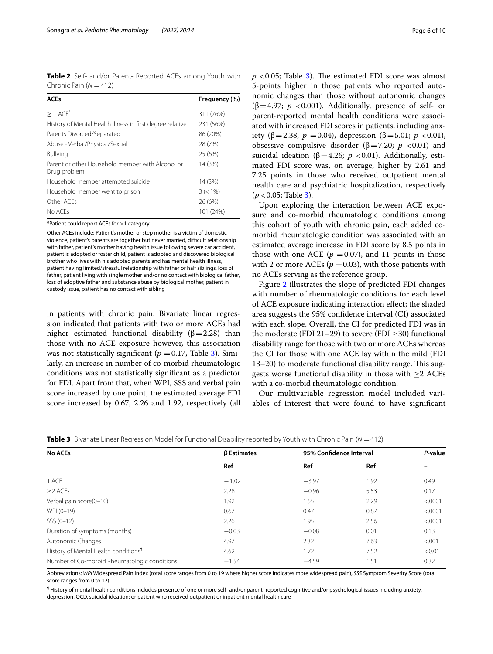<span id="page-5-0"></span>**Table 2** Self- and/or Parent- Reported ACEs among Youth with Chronic Pain ( $N = 412$ )

| <b>ACEs</b>                                                      | Frequency (%) |
|------------------------------------------------------------------|---------------|
| $> 1$ ACE <sup>*</sup>                                           | 311 (76%)     |
| History of Mental Health Illness in first degree relative        | 231 (56%)     |
| Parents Divorced/Separated                                       | 86 (20%)      |
| Abuse - Verbal/Physical/Sexual                                   | 28 (7%)       |
| <b>Bullying</b>                                                  | 25 (6%)       |
| Parent or other Household member with Alcohol or<br>Drug problem | 14 (3%)       |
| Household member attempted suicide                               | 14 (3%)       |
| Household member went to prison                                  | $3 (< 1\%)$   |
| Other ACEs                                                       | 26 (6%)       |
| No ACEs                                                          | 101 (24%)     |

\*Patient could report ACEs for >1 category.

Other ACEs include: Patient's mother or step mother is a victim of domestic violence, patient's parents are together but never married, difficult relationship with father, patient's mother having health issue following severe car accident, patient is adopted or foster child, patient is adopted and discovered biological brother who lives with his adopted parents and has mental health illness, patient having limited/stressful relationship with father or half siblings, loss of father, patient living with single mother and/or no contact with biological father, loss of adoptive father and substance abuse by biological mother, patient in custody issue, patient has no contact with sibling

in patients with chronic pain. Bivariate linear regression indicated that patients with two or more ACEs had higher estimated functional disability  $(\beta = 2.28)$  than those with no ACE exposure however, this association was not statistically significant ( $p = 0.17$ , Table [3\)](#page-5-1). Similarly, an increase in number of co-morbid rheumatologic conditions was not statistically signifcant as a predictor for FDI. Apart from that, when WPI, SSS and verbal pain score increased by one point, the estimated average FDI score increased by 0.67, 2.26 and 1.92, respectively (all  $p$  <0.05; Table [3](#page-5-1)). The estimated FDI score was almost 5-points higher in those patients who reported autonomic changes than those without autonomic changes ( $\beta$ =4.97; *p* <0.001). Additionally, presence of self- or parent-reported mental health conditions were associated with increased FDI scores in patients, including anxiety ( $\beta$ =2.38; *p* = 0.04), depression ( $\beta$ =5.01; *p* < 0.01), obsessive compulsive disorder ( $β = 7.20$ ; *p* <0.01) and suicidal ideation ( $β=4.26; p < 0.01$ ). Additionally, estimated FDI score was, on average, higher by 2.61 and 7.25 points in those who received outpatient mental health care and psychiatric hospitalization, respectively (*p* <0.05; Table [3\)](#page-5-1).

Upon exploring the interaction between ACE exposure and co-morbid rheumatologic conditions among this cohort of youth with chronic pain, each added comorbid rheumatologic condition was associated with an estimated average increase in FDI score by 8.5 points in those with one ACE ( $p = 0.07$ ), and 11 points in those with 2 or more ACEs ( $p = 0.03$ ), with those patients with no ACEs serving as the reference group.

Figure [2](#page-6-0) illustrates the slope of predicted FDI changes with number of rheumatologic conditions for each level of ACE exposure indicating interaction efect; the shaded area suggests the 95% confdence interval (CI) associated with each slope. Overall, the CI for predicted FDI was in the moderate (FDI 21–29) to severe (FDI  $\geq$ 30) functional disability range for those with two or more ACEs whereas the CI for those with one ACE lay within the mild (FDI 13–20) to moderate functional disability range. This suggests worse functional disability in those with  $\geq$  2 ACEs with a co-morbid rheumatologic condition.

Our multivariable regression model included variables of interest that were found to have signifcant

<span id="page-5-1"></span>

|  | <b>Table 3</b> Bivariate Linear Regression Model for Functional Disability reported by Youth with Chronic Pain (N = 412) |  |
|--|--------------------------------------------------------------------------------------------------------------------------|--|
|  |                                                                                                                          |  |

| <b>No ACEs</b>                                   | <b><i>β</i></b> Estimates |         | 95% Confidence Interval |         |
|--------------------------------------------------|---------------------------|---------|-------------------------|---------|
|                                                  | Ref                       | Ref     | Ref                     |         |
| 1 ACE                                            | $-1.02$                   | $-3.97$ | 1.92                    | 0.49    |
| $\geq$ 2 ACEs                                    | 2.28                      | $-0.96$ | 5.53                    | 0.17    |
| Verbal pain score(0-10)                          | 1.92                      | 1.55    | 2.29                    | < .0001 |
| WPI (0-19)                                       | 0.67                      | 0.47    | 0.87                    | < .0001 |
| $SSS (0-12)$                                     | 2.26                      | 1.95    | 2.56                    | < .0001 |
| Duration of symptoms (months)                    | $-0.03$                   | $-0.08$ | 0.01                    | 0.13    |
| Autonomic Changes                                | 4.97                      | 2.32    | 7.63                    | < .001  |
| History of Mental Health conditions <sup>1</sup> | 4.62                      | 1.72    | 7.52                    | < 0.01  |
| Number of Co-morbid Rheumatologic conditions     | $-1.54$                   | $-4.59$ | 1.51                    | 0.32    |

Abbreviations: *WPI* Widespread Pain Index (total score ranges from 0 to 19 where higher score indicates more widespread pain), *SSS* Symptom Severity Score (total score ranges from 0 to 12).

¶ History of mental health conditions includes presence of one or more self- and/or parent- reported cognitive and/or psychological issues including anxiety, depression, OCD, suicidal ideation; or patient who received outpatient or inpatient mental health care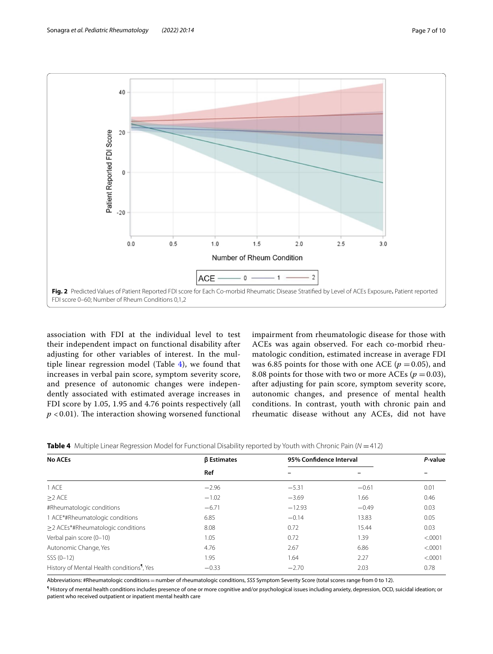

<span id="page-6-0"></span>association with FDI at the individual level to test their independent impact on functional disability after adjusting for other variables of interest. In the multiple linear regression model (Table [4](#page-6-1)), we found that increases in verbal pain score, symptom severity score, and presence of autonomic changes were independently associated with estimated average increases in FDI score by 1.05, 1.95 and 4.76 points respectively (all  $p$  < 0.01). The interaction showing worsened functional impairment from rheumatologic disease for those with ACEs was again observed. For each co-morbid rheumatologic condition, estimated increase in average FDI was 6.85 points for those with one ACE ( $p = 0.05$ ), and 8.08 points for those with two or more ACEs ( $p = 0.03$ ), after adjusting for pain score, symptom severity score, autonomic changes, and presence of mental health conditions. In contrast, youth with chronic pain and rheumatic disease without any ACEs, did not have

| <b>No ACEs</b>                                         | <b><i>β</i></b> Estimates | 95% Confidence Interval |         | P-value |  |
|--------------------------------------------------------|---------------------------|-------------------------|---------|---------|--|
|                                                        | Ref                       |                         |         |         |  |
| 1 ACE                                                  | $-2.96$                   | $-5.31$                 | $-0.61$ | 0.01    |  |
| $\geq$ 2 ACE                                           | $-1.02$                   | $-3.69$                 | 1.66    | 0.46    |  |
| #Rheumatologic conditions                              | $-6.71$                   | $-12.93$                | $-0.49$ | 0.03    |  |
| 1 ACE*#Rheumatologic conditions                        | 6.85                      | $-0.14$                 | 13.83   | 0.05    |  |
| $\geq$ 2 ACEs*#Rheumatologic conditions                | 8.08                      | 0.72                    | 15.44   | 0.03    |  |
| Verbal pain score (0-10)                               | 1.05                      | 0.72                    | 1.39    | < .0001 |  |
| Autonomic Change, Yes                                  | 4.76                      | 2.67                    | 6.86    | < .0001 |  |
| $SSS (0-12)$                                           | 1.95                      | 1.64                    | 2.27    | < .0001 |  |
| History of Mental Health conditions <sup>1</sup> , Yes | $-0.33$                   | $-2.70$                 | 2.03    | 0.78    |  |

<span id="page-6-1"></span>

| <b>Table 4</b> Multiple Linear Regression Model for Functional Disability reported by Youth with Chronic Pain ( $N = 412$ ) |  |  |  |  |  |
|-----------------------------------------------------------------------------------------------------------------------------|--|--|--|--|--|
|-----------------------------------------------------------------------------------------------------------------------------|--|--|--|--|--|

Abbreviations: #Rheumatologic conditions=number of rheumatologic conditions, *SSS* Symptom Severity Score (total scores range from 0 to 12).

¶ History of mental health conditions includes presence of one or more cognitive and/or psychological issues including anxiety, depression, OCD, suicidal ideation; or patient who received outpatient or inpatient mental health care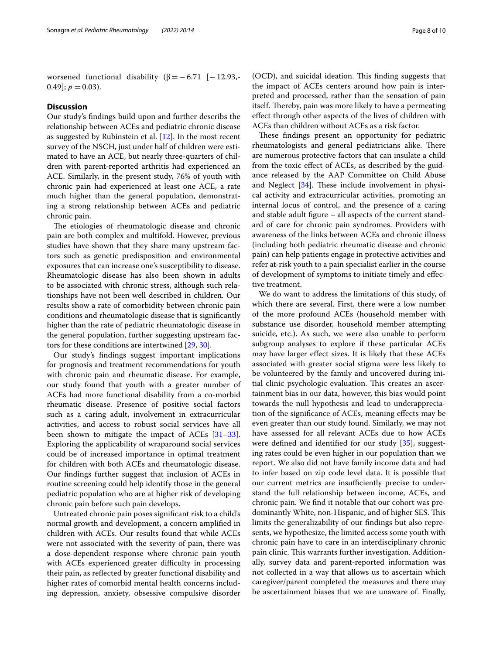worsened functional disability ( $\beta = -6.71$  [−12.93,-0.49];  $p = 0.03$ ).

# **Discussion**

Our study's fndings build upon and further describs the relationship between ACEs and pediatric chronic disease as suggested by Rubinstein et al. [[12\]](#page-9-8). In the most recent survey of the NSCH, just under half of children were estimated to have an ACE, but nearly three-quarters of children with parent-reported arthritis had experienced an ACE. Similarly, in the present study, 76% of youth with chronic pain had experienced at least one ACE, a rate much higher than the general population, demonstrating a strong relationship between ACEs and pediatric chronic pain.

The etiologies of rheumatologic disease and chronic pain are both complex and multifold. However, previous studies have shown that they share many upstream factors such as genetic predisposition and environmental exposures that can increase one's susceptibility to disease. Rheumatologic disease has also been shown in adults to be associated with chronic stress, although such relationships have not been well described in children. Our results show a rate of comorbidity between chronic pain conditions and rheumatologic disease that is signifcantly higher than the rate of pediatric rheumatologic disease in the general population, further suggesting upstream factors for these conditions are intertwined [\[29](#page-9-16), [30\]](#page-9-23).

Our study's fndings suggest important implications for prognosis and treatment recommendations for youth with chronic pain and rheumatic disease. For example, our study found that youth with a greater number of ACEs had more functional disability from a co-morbid rheumatic disease. Presence of positive social factors such as a caring adult, involvement in extracurricular activities, and access to robust social services have all been shown to mitigate the impact of ACEs [[31](#page-9-24)[–33](#page-9-25)]. Exploring the applicability of wraparound social services could be of increased importance in optimal treatment for children with both ACEs and rheumatologic disease. Our fndings further suggest that inclusion of ACEs in routine screening could help identify those in the general pediatric population who are at higher risk of developing chronic pain before such pain develops.

Untreated chronic pain poses signifcant risk to a child's normal growth and development, a concern amplifed in children with ACEs. Our results found that while ACEs were not associated with the severity of pain, there was a dose-dependent response where chronic pain youth with ACEs experienced greater difficulty in processing their pain, as refected by greater functional disability and higher rates of comorbid mental health concerns including depression, anxiety, obsessive compulsive disorder

(OCD), and suicidal ideation. This finding suggests that the impact of ACEs centers around how pain is interpreted and processed, rather than the sensation of pain itself. Thereby, pain was more likely to have a permeating efect through other aspects of the lives of children with ACEs than children without ACEs as a risk factor.

These findings present an opportunity for pediatric rheumatologists and general pediatricians alike. There are numerous protective factors that can insulate a child from the toxic efect of ACEs, as described by the guidance released by the AAP Committee on Child Abuse and Neglect  $[34]$  $[34]$  $[34]$ . These include involvement in physical activity and extracurricular activities, promoting an internal locus of control, and the presence of a caring and stable adult fgure – all aspects of the current standard of care for chronic pain syndromes. Providers with awareness of the links between ACEs and chronic illness (including both pediatric rheumatic disease and chronic pain) can help patients engage in protective activities and refer at-risk youth to a pain specialist earlier in the course of development of symptoms to initiate timely and efective treatment.

We do want to address the limitations of this study, of which there are several. First, there were a low number of the more profound ACEs (household member with substance use disorder, household member attempting suicide, etc.). As such, we were also unable to perform subgroup analyses to explore if these particular ACEs may have larger efect sizes. It is likely that these ACEs associated with greater social stigma were less likely to be volunteered by the family and uncovered during initial clinic psychologic evaluation. This creates an ascertainment bias in our data, however, this bias would point towards the null hypothesis and lead to underappreciation of the signifcance of ACEs, meaning efects may be even greater than our study found. Similarly, we may not have assessed for all relevant ACEs due to how ACEs were defned and identifed for our study [\[35](#page-9-27)], suggesting rates could be even higher in our population than we report. We also did not have family income data and had to infer based on zip code level data. It is possible that our current metrics are insufficiently precise to understand the full relationship between income, ACEs, and chronic pain. We fnd it notable that our cohort was predominantly White, non-Hispanic, and of higher SES. This limits the generalizability of our fndings but also represents, we hypothesize, the limited access some youth with chronic pain have to care in an interdisciplinary chronic pain clinic. This warrants further investigation. Additionally, survey data and parent-reported information was not collected in a way that allows us to ascertain which caregiver/parent completed the measures and there may be ascertainment biases that we are unaware of. Finally,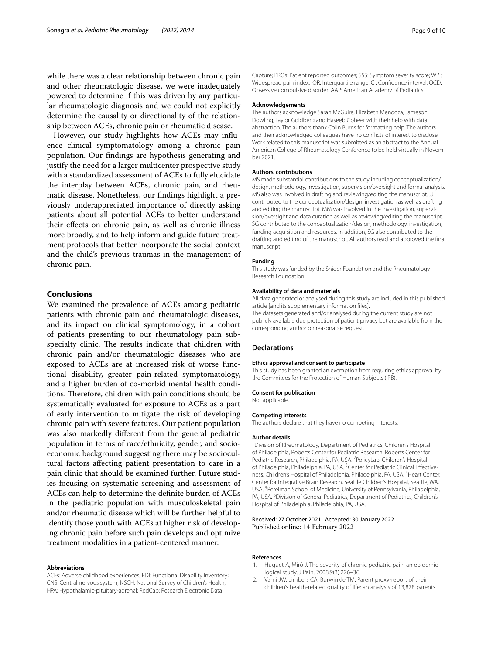while there was a clear relationship between chronic pain and other rheumatologic disease, we were inadequately powered to determine if this was driven by any particular rheumatologic diagnosis and we could not explicitly determine the causality or directionality of the relationship between ACEs, chronic pain or rheumatic disease.

However, our study highlights how ACEs may infuence clinical symptomatology among a chronic pain population. Our fndings are hypothesis generating and justify the need for a larger multicenter prospective study with a standardized assessment of ACEs to fully elucidate the interplay between ACEs, chronic pain, and rheumatic disease. Nonetheless, our fndings highlight a previously underappreciated importance of directly asking patients about all potential ACEs to better understand their efects on chronic pain, as well as chronic illness more broadly, and to help inform and guide future treatment protocols that better incorporate the social context and the child's previous traumas in the management of chronic pain.

# **Conclusions**

We examined the prevalence of ACEs among pediatric patients with chronic pain and rheumatologic diseases, and its impact on clinical symptomology, in a cohort of patients presenting to our rheumatology pain subspecialty clinic. The results indicate that children with chronic pain and/or rheumatologic diseases who are exposed to ACEs are at increased risk of worse functional disability, greater pain-related symptomatology, and a higher burden of co-morbid mental health conditions. Therefore, children with pain conditions should be systematically evaluated for exposure to ACEs as a part of early intervention to mitigate the risk of developing chronic pain with severe features. Our patient population was also markedly diferent from the general pediatric population in terms of race/ethnicity, gender, and socioeconomic background suggesting there may be sociocultural factors afecting patient presentation to care in a pain clinic that should be examined further. Future studies focusing on systematic screening and assessment of ACEs can help to determine the defnite burden of ACEs in the pediatric population with musculoskeletal pain and/or rheumatic disease which will be further helpful to identify those youth with ACEs at higher risk of developing chronic pain before such pain develops and optimize treatment modalities in a patient-centered manner.

#### **Abbreviations**

ACEs: Adverse childhood experiences; FDI: Functional Disability Inventory; CNS: Central nervous system; NSCH: National Survey of Children's Health; HPA: Hypothalamic-pituitary-adrenal; RedCap: Research Electronic Data

Capture; PROs: Patient reported outcomes; SSS: Symptom severity score; WPI: Widespread pain index; IQR: Interquartile range; CI: Confdence interval; OCD: Obsessive compulsive disorder; AAP: American Academy of Pediatrics.

#### **Acknowledgements**

The authors acknowledge Sarah McGuire, Elizabeth Mendoza, Jameson Dowling, Taylor Goldberg and Haseeb Goheer with their help with data abstraction. The authors thank Colin Burns for formatting help. The authors and their acknowledged colleagues have no conficts of interest to disclose. Work related to this manuscript was submitted as an abstract to the Annual American College of Rheumatology Conference to be held virtually in November 2021.

#### **Authors' contributions**

MS made substantial contributions to the study incuding conceptualization/ design, methodology, investigation, supervision/oversight and formal analysis. MS also was involved in drafting and reviewing/editing the manuscript. JJ contributed to the conceptualization/design, investigation as well as drafting and editing the manuscript. MM was involved in the investigation, supervision/oversight and data curation as well as reviewing/editing the manuscript. SG contributed to the conceptualization/design, methodology, investigation, funding acquisition and resources. In addition, SG also contributed to the drafting and editing of the manuscript. All authors read and approved the fnal manuscript.

#### **Funding**

This study was funded by the Snider Foundation and the Rheumatology Research Foundation.

#### **Availability of data and materials**

All data generated or analysed during this study are included in this published article [and its supplementary information fles]. The datasets generated and/or analysed during the current study are not publicly available due protection of patient privacy but are available from the corresponding author on reasonable request.

#### **Declarations**

#### **Ethics approval and consent to participate**

This study has been granted an exemption from requiring ethics approval by the Commitees for the Protection of Human Subjects (IRB).

# **Consent for publication**

Not applicable.

#### **Competing interests**

The authors declare that they have no competing interests.

#### **Author details**

<sup>1</sup> Division of Rheumatology, Department of Pediatrics, Children's Hospital of Philadelphia, Roberts Center for Pediatric Research, Roberts Center for Pediatric Research, Philadelphia, PA, USA. <sup>2</sup>PolicyLab, Children's Hospital of Philadelphia, Philadelphia, PA, USA.<sup>3</sup> Center for Pediatric Clinical Effectiveness, Children's Hospital of Philadelphia, Philadelphia, PA, USA. <sup>4</sup> Heart Center, Center for Integrative Brain Research, Seattle Children's Hospital, Seattle, WA, USA. <sup>5</sup> Perelman School of Medicine, University of Pennsylvania, Philadelphia, PA, USA. <sup>6</sup> Division of General Pediatrics, Department of Pediatrics, Children's Hospital of Philadelphia, Philadelphia, PA, USA.

### Received: 27 October 2021 Accepted: 30 January 2022 Published online: 14 February 2022

#### **References**

- <span id="page-8-0"></span>1. Huguet A, Miró J. The severity of chronic pediatric pain: an epidemiological study. J Pain. 2008;9(3):226–36.
- <span id="page-8-1"></span>2. Varni JW, Limbers CA, Burwinkle TM. Parent proxy-report of their children's health-related quality of life: an analysis of 13,878 parents'